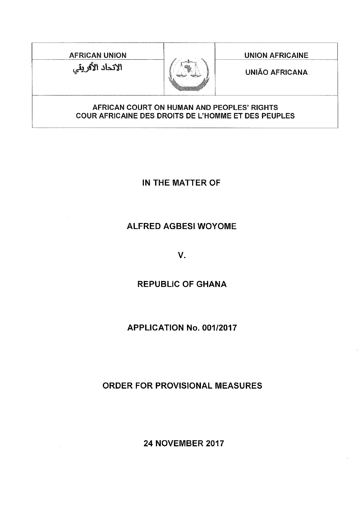AFRICAN UNION **NATION AFRICAINE** الانحاد الأفريقي



UNIAO AFRICANA

### AFRICAN COURT ON HUMAN AND PEOPLES' RIGHTS COUR AFRICAINE DES DROITS DE L'HOMME ET DES PEUPLES

IN THE **MATTER OF**

# **ALFRED** AGBESI **WOYOME**

V.

## **REPUBLIC OF** GHANA

## **APPLICATION No. 001/2017**

## **ORDER FOR PROVISIONAL MEASURES**

**24 NOVEMBER 2017**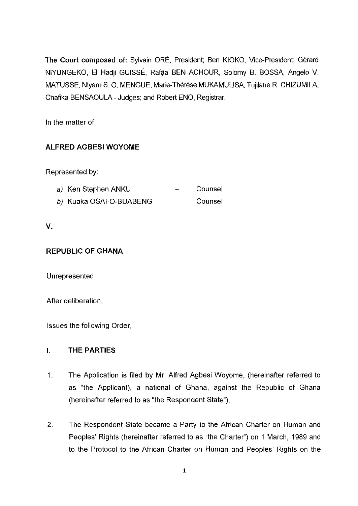The Court composed of: Sylvain ORÉ, President; Ben KIOKO, Vice-President; Gérard NIYUNGEKO, EI Hadji GUISSÉ, Rafâa BEN ACHOUR, Solomy B. BOSSA, Angelo V. MATUSSE, Ntyam S. O. MENGUE, Marie-Therese MUKAMULlSA, Tujilane R. CHIZUMILA, Chafika BENSAOULA - Judges; and Robert ENO, Registrar.

In the matter of:

## ALFRED AGBESI WOYOME

Represented by:

| <i>a)</i> Ken Stephen ANKU | Counsel |
|----------------------------|---------|
|                            |         |

b) Kuaka OSAFO-BUABENG  $\frac{1}{2}$ Counsel

## v.

## REPUBLIC OF GHANA

Unrepresented

After deliberation,

Issues the following Order,

## I. THE PARTIES

- 1. The Application is filed by Mr. Alfred Agbesi Woyome, (hereinafter referred to as "the Applicant), a national of Ghana, against the Republic of Ghana (hereinafter referred to as "the Respondent State").
- 2. The Respondent State became a Party to the African Charter on Human and Peoples' Rights (hereinafter referred to as "the Charter") on 1 March, 1989 and to the Protocol to the African Charter on Human and Peoples' Rights on the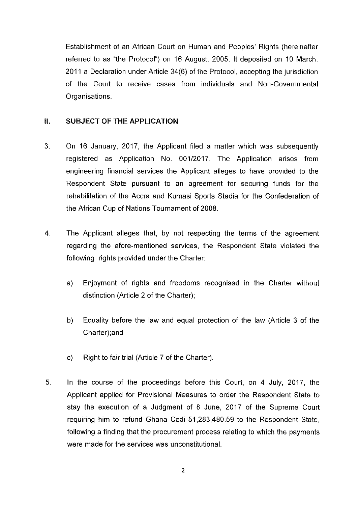Establishment of an African Court on Human and Peoples' Rights (hereinafter referred to as "the Protocol") on 16 August, 2005. It deposited on 10 March, 2011 a Declaration under Article 34(6) of the Protocol, accepting the jurisdiction of the Court to receive cases from individuals and Non-Governmental Organisations.

### **II.** SUBJECT OF THE APPLICATION

- 3. On 16 January, 2017, the Applicant filed a matter which was subsequently registered as Application No. 001/2017. The Application arises from engineering financial services the Applicant alleges to have provided to the Respondent State pursuant to an agreement for securing funds for the rehabilitation of the Accra and Kumasi Sports Stadia for the Confederation of the African Cup of Nations Tournament of 2008.
- 4. The Applicant alleges that, by not respecting the terms of the agreement regarding the afore-mentioned services, the Respondent State violated the following rights provided under the Charter:
	- a) Enjoyment of rights and freedoms recognised in the Charter without distinction (Article 2 of the Charter);
	- b) Equality before the law and equal protection of the law (Article 3 of the Charter);and
	- c) Right to fair trial (Article 7 of the Charter).
- 5. In the course of the proceedings before this Court, on 4 July, 2017, the Applicant applied for Provisional Measures to order the Respondent State to stay the execution of a Judgment of 8 June, 2017 of the Supreme Court requiring him to refund Ghana Cedi 51,283,480.59 to the Respondent State, following a finding that the procurement process relating to which the payments were made for the services was unconstitutional.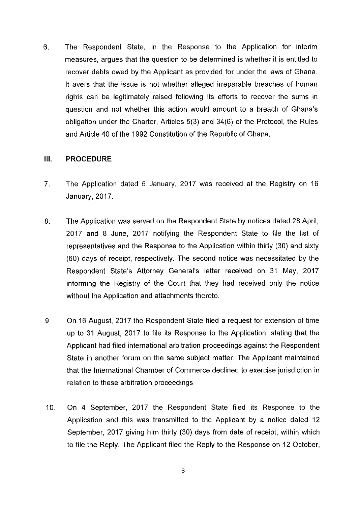6. The Respondent State, in the Response to the Application for interim measures, argues that the question to be determined is whether it is entitled to recover debts owed by the Applicant as provided for under the laws of Ghana. It avers that the issue is not whether alleged irreparable breaches of human rights can be legitimately raised following its efforts to recover the sums in question and not whether this action would amount to a breach of Ghana's obligation under the Charter, Articles 5(3) and 34(6) of the Protocol, the Rules and Article 40 of the 1992 Constitution of the Republic of Ghana.

#### **III. PROCEDURE**

- 7. The Application dated 5 January, 2017 was received at the Registry on 16 January, 2017.
- 8. The Application was served on the Respondent State by notices dated 28 April, 2017 and 8 June, 2017 notifying the Respondent State to file the list of representatives and the Response to the Application within thirty (30) and sixty (60) days of receipt, respectively. The second notice was necessitated by the Respondent State's Attorney General's letter received on 31 May, 2017 informing the Registry of the Court that they had received only the notice without the Application and attachments thereto.
- 9. On 16 August, 2017 the Respondent State filed a request for extension of time up to 31 August, 2017 to file its Response to the Application, stating that the Applicant had filed international arbitration proceedings against the Respondent State in another forum on the same subject matter. The Applicant maintained that the International Chamber of Commerce declined to exercise jurisdiction in relation to these arbitration proceedings.
- 10. On 4 September, 2017 the Respondent State filed its Response to the Application and this was transmitted to the Applicant by a notice dated 12 September, 2017 giving him thirty (30) days from date of receipt, within which to file the Reply. The Applicant filed the Reply to the Response on 12 October,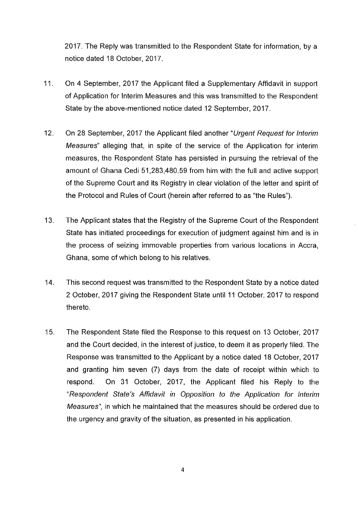2017. The Reply was transmitted to the Respondent State for information, by a notice dated 18 October, 2017.

- 11 . On 4 September, 2017 the Applicant filed a Supplementary Affidavit in support of Application for Interim Measures and this was transmitted to the Respondent State by the above-mentioned notice dated 12 September, 2017.
- 12. On 28 September, 2017 the Applicant filed another "Urgent Request for Interim Measures" alleging that, in spite of the service of the Application for interim measures, the Respondent State has persisted in pursuing the retrieval of the amount of Ghana Cedi 51,283,480.59 from him with the full and active support of the Supreme Court and its Registry in clear violation of the letter and spirit of the Protocol and Rules of Court (herein after referred to as "the Rules").
- 13. The Applicant states that the Registry of the Supreme Court of the Respondent State has initiated proceedings for execution of judgment against him and is in the process of seizing immovable properties from various locations in Accra, Ghana, some of which belong to his relatives.
- 14. This second request was transmitted to the Respondent State by a notice dated 2 October, 2017 giving the Respondent State until 11 October, 2017 to respond thereto.
- 15. The Respondent State filed the Response to this request on 13 October, 2017 and the Court decided, in the interest of justice, to deem it as properly filed. The Response was transmitted to the Applicant by a notice dated 18 October, 2017 and granting him seven (7) days from the date of receipt within which to respond. On 31 October, 2017, the Applicant filed his Reply to the "Respondent State's Affidavit in Opposition to the Application for Interim Measures", in which he maintained that the measures should be ordered due to the urgency and gravity of the situation, as presented in his application.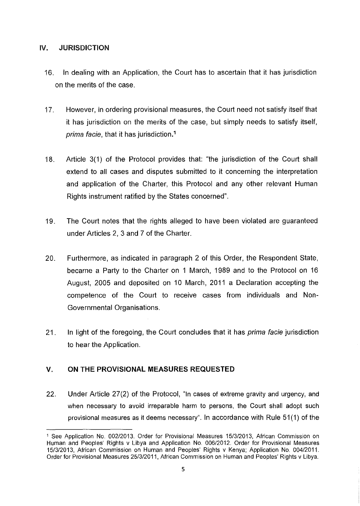#### IV. JURISDICTION

- 16. In dealing with an Application, the Court has to ascertain that it has jurisdiction on the merits of the case.
- 17. However, in ordering provisional measures, the Court need not satisfy itself that it has jurisdiction on the merits of the case, but simply needs to satisfy itself, prima facie, that it has jurisdiction.<sup>1</sup>
- 18. Article 3(1) of the Protocol provides that: "the jurisdiction of the Court shall extend to all cases and disputes submitted to it concerning the interpretation and application of the Charter, this Protocol and any other relevant Human Rights instrument ratified by the States concerned".
- 19. The Court notes that the rights alleged to have been violated are guaranteed under Articles 2, 3 and 7 of the Charter.
- 20. Furthermore, as indicated in paragraph 2 of this Order, the Respondent State, became a Party to the Charter on 1 March, 1989 and to the Protocol on 16 August, 2005 and deposited on 10 March, 2011 a Declaration accepting the competence of the Court to receive cases from individuals and Non-Governmental Organisations.
- 21. In light of the foregoing, the Court concludes that it has *prima facie* jurisdiction to hear the Application.

### V. **ON** THE PROVISIONAL MEASURES REQUESTED

22. Under Article 27(2) of the Protocol, "In cases of extreme gravity and urgency, and when necessary to avoid irreparable harm to persons, the Court shall adopt such provisional measures as it deems necessary". In accordance with Rule 51 (1) of the

<sup>1</sup> See Application No. 002/2013. Order for Provisional Measures 1513/2013, African Commission on Human and Peoples' Rights v Libya and Application No. 00612012. Order for Provisional Measures 1513/2013, African Commission on Human and Peoples' Rights v Kenya; Application No. 00412011. Order for Provisional Measures 25/3/2011, African Commission on Human and Peoples' Rights v Libya.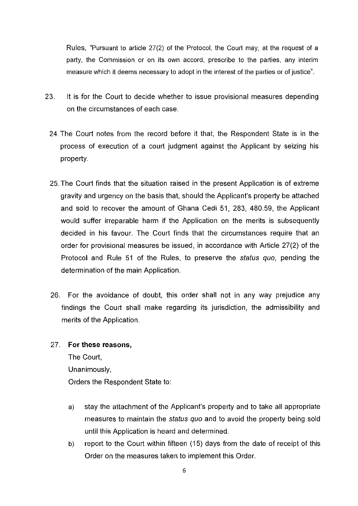Rules, "Pursuant to article 27(2) of the Protocol, the Court may, at the request of a party, the Commission or on its own accord, prescribe to the parties, any interim measure which it deems necessary to adopt in the interest of the parties or of justice".

- 23. It is for the Court to decide whether to issue provisional measures depending on the circumstances of each case.
	- 24. The Court notes from the record before it that, the Respondent State is in the process of execution of a court judgment against the Applicant by seizing his property.
	- 25. The Court finds that the situation raised in the present Application is of extreme gravity and urgency on the basis that, should the Applicant's property be attached and sold to recover the amount of Ghana Cedi 51, 283, 480.59, the Applicant would suffer irreparable harm if the Application on the merits is subsequently decided in his favour. The Court finds that the circumstances require that an order for provisional measures be issued, in accordance with Article 27(2) of the Protocol and Rule 51 of the Rules, to preserve the status quo, pending the determination of the main Application.
	- 26. For the avoidance of doubt, this order shall not in any way prejudice any findings the Court shall make regarding its jurisdiction, the admissibility and merits of the Application.

#### 27. **For these reasons,**

The Court, Unanimously, Orders the Respondent State to:

- a) stay the attachment of the Applicant's property and to take all appropriate measures to maintain the status quo and to avoid the property being sold until this Application is heard and determined.
- b) report to the Court within fifteen (15) days from the date of receipt of this Order on the measures taken to implement this Order.